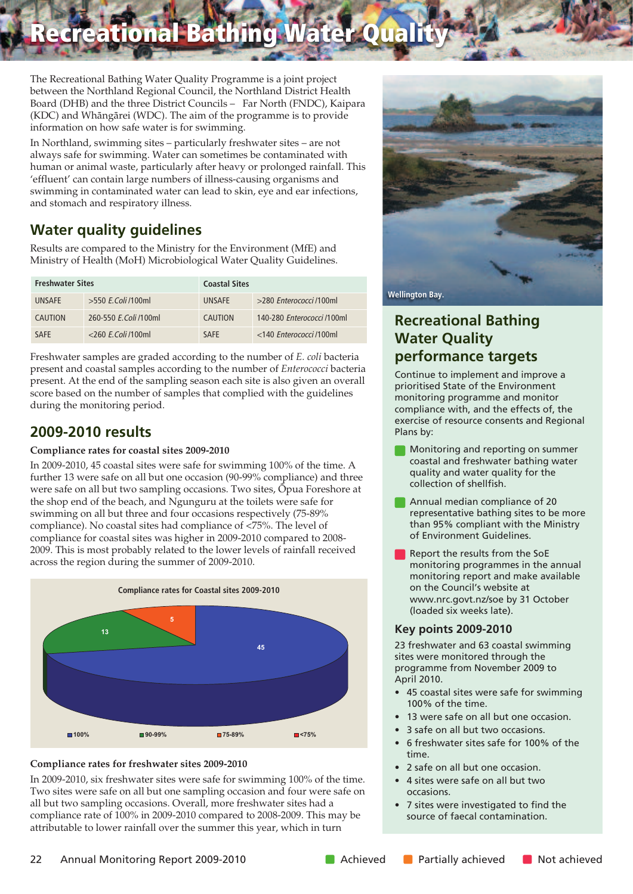**Recreational Bathing Water Quality**

The Recreational Bathing Water Quality Programme is a joint project between the Northland Regional Council, the Northland District Health Board (DHB) and the three District Councils – Far North (FNDC), Kaipara (KDC) and Whängärei (WDC). The aim of the programme is to provide information on how safe water is for swimming.

In Northland, swimming sites – particularly freshwater sites – are not always safe for swimming. Water can sometimes be contaminated with human or animal waste, particularly after heavy or prolonged rainfall. This 'effluent' can contain large numbers of illness-causing organisms and swimming in contaminated water can lead to skin, eye and ear infections, and stomach and respiratory illness.

## **Water quality guidelines**

Results are compared to the Ministry for the Environment (MfE) and Ministry of Health (MoH) Microbiological Water Quality Guidelines.

| <b>Freshwater Sites</b> |                       | <b>Coastal Sites</b> |                            |  |  |
|-------------------------|-----------------------|----------------------|----------------------------|--|--|
| <b>UNSAFF</b>           | $>550$ F. Coli /100ml | <b>UNSAFF</b>        | >280 Enterococci /100ml    |  |  |
| <b>CAUTION</b>          | 260-550 E.Coli /100ml | CAUTION              | 140-280 Enterococci /100ml |  |  |
| <b>SAFF</b>             | $<$ 260 F.Coli /100ml | <b>SAFF</b>          | <140 Enterococci /100ml    |  |  |

Freshwater samples are graded according to the number of *E. coli* bacteria present and coastal samples according to the number of *Enterococci* bacteria present. At the end of the sampling season each site is also given an overall score based on the number of samples that complied with the guidelines during the monitoring period.

## **2009-2010 results**

#### **Compliance rates for coastal sites 2009-2010**

In 2009-2010, 45 coastal sites were safe for swimming 100% of the time. A further 13 were safe on all but one occasion (90-99% compliance) and three were safe on all but two sampling occasions. Two sites, Öpua Foreshore at the shop end of the beach, and Ngunguru at the toilets were safe for swimming on all but three and four occasions respectively (75-89% compliance). No coastal sites had compliance of <75%. The level of compliance for coastal sites was higher in 2009-2010 compared to 2008- 2009. This is most probably related to the lower levels of rainfall received across the region during the summer of 2009-2010.





In 2009-2010, six freshwater sites were safe for swimming 100% of the time. Two sites were safe on all but one sampling occasion and four were safe on all but two sampling occasions. Overall, more freshwater sites had a compliance rate of 100% in 2009-2010 compared to 2008-2009. This may be attributable to lower rainfall over the summer this year, which in turn



### **Recreational Bathing Water Quality performance targets**

Continue to implement and improve a prioritised State of the Environment monitoring programme and monitor compliance with, and the effects of, the exercise of resource consents and Regional Plans by:

- Monitoring and reporting on summer coastal and freshwater bathing water quality and water quality for the collection of shellfish.
- Annual median compliance of 20 representative bathing sites to be more than 95% compliant with the Ministry of Environment Guidelines.
- Report the results from the SoE monitoring programmes in the annual monitoring report and make available on the Council's website at www.nrc.govt.nz/soe by 31 October (loaded six weeks late).

#### **Key points 2009-2010**

23 freshwater and 63 coastal swimming sites were monitored through the programme from November 2009 to April 2010.

- 45 coastal sites were safe for swimming 100% of the time.
- 13 were safe on all but one occasion.
- 3 safe on all but two occasions.
- 6 freshwater sites safe for 100% of the time.
- 2 safe on all but one occasion.
- 4 sites were safe on all but two occasions.
- 7 sites were investigated to find the source of faecal contamination.